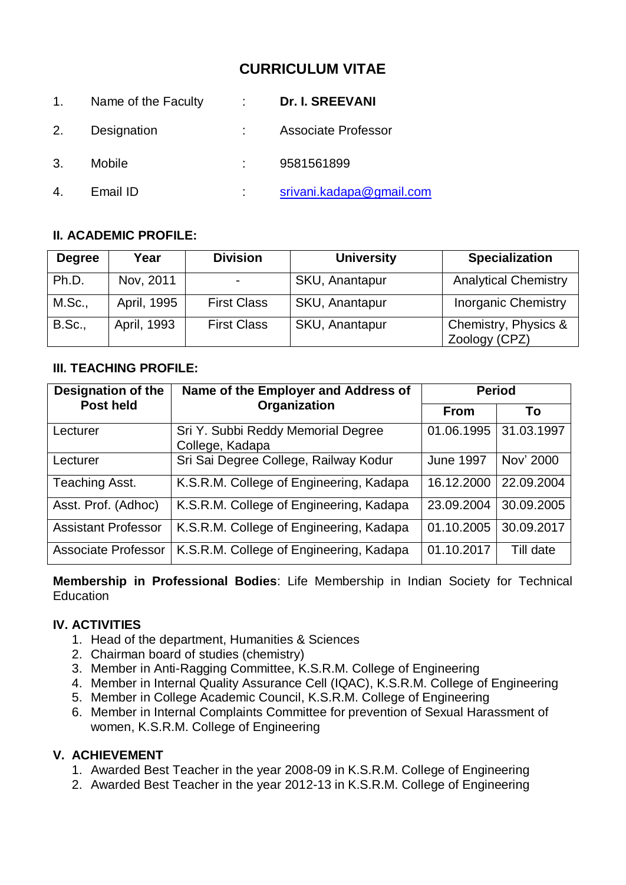# **CURRICULUM VITAE**

| 1. | Name of the Faculty | <b>Dr. I. SREEVANI</b>   |
|----|---------------------|--------------------------|
| 2. | Designation         | Associate Professor      |
| 3. | Mobile              | 9581561899               |
|    | Email ID            | srivani.kadapa@gmail.com |

# **II. ACADEMIC PROFILE:**

| <b>Degree</b> | Year        | <b>Division</b>    | <b>University</b> | <b>Specialization</b>                 |
|---------------|-------------|--------------------|-------------------|---------------------------------------|
| Ph.D.         | Nov, 2011   |                    | SKU, Anantapur    | <b>Analytical Chemistry</b>           |
| M.Sc.,        | April, 1995 | <b>First Class</b> | SKU, Anantapur    | <b>Inorganic Chemistry</b>            |
| <b>B.Sc.,</b> | April, 1993 | <b>First Class</b> | SKU, Anantapur    | Chemistry, Physics &<br>Zoology (CPZ) |

# **III. TEACHING PROFILE:**

| <b>Designation of the</b>  | Name of the Employer and Address of                   | <b>Period</b>    |            |
|----------------------------|-------------------------------------------------------|------------------|------------|
| <b>Post held</b>           | Organization                                          | <b>From</b>      | To         |
| Lecturer                   | Sri Y. Subbi Reddy Memorial Degree<br>College, Kadapa | 01.06.1995       | 31.03.1997 |
| Lecturer                   | Sri Sai Degree College, Railway Kodur                 | <b>June 1997</b> | Nov' 2000  |
| Teaching Asst.             | K.S.R.M. College of Engineering, Kadapa               | 16.12.2000       | 22.09.2004 |
| Asst. Prof. (Adhoc)        | K.S.R.M. College of Engineering, Kadapa               | 23.09.2004       | 30.09.2005 |
| <b>Assistant Professor</b> | K.S.R.M. College of Engineering, Kadapa               | 01.10.2005       | 30.09.2017 |
| <b>Associate Professor</b> | K.S.R.M. College of Engineering, Kadapa               | 01.10.2017       | Till date  |

**Membership in Professional Bodies**: Life Membership in Indian Society for Technical Education

#### **IV. ACTIVITIES**

- 1. Head of the department, Humanities & Sciences
- 2. Chairman board of studies (chemistry)
- 3. Member in Anti-Ragging Committee, K.S.R.M. College of Engineering
- 4. Member in Internal Quality Assurance Cell (IQAC), K.S.R.M. College of Engineering
- 5. Member in College Academic Council, K.S.R.M. College of Engineering
- 6. Member in Internal Complaints Committee for prevention of Sexual Harassment of women, K.S.R.M. College of Engineering

#### **V. ACHIEVEMENT**

- 1. Awarded Best Teacher in the year 2008-09 in K.S.R.M. College of Engineering
- 2. Awarded Best Teacher in the year 2012-13 in K.S.R.M. College of Engineering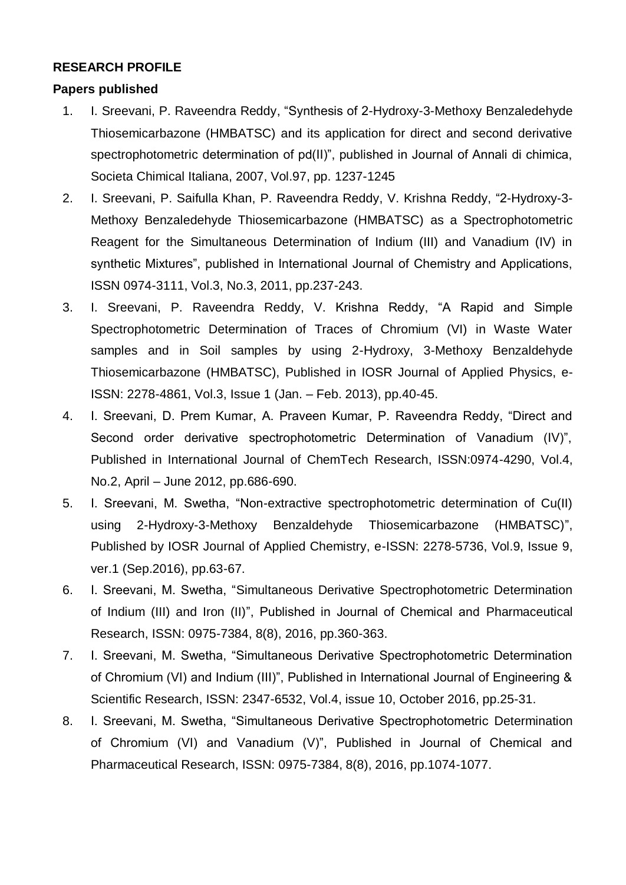# **RESEARCH PROFILE**

# **Papers published**

- 1. I. Sreevani, P. Raveendra Reddy, "Synthesis of 2-Hydroxy-3-Methoxy Benzaledehyde Thiosemicarbazone (HMBATSC) and its application for direct and second derivative spectrophotometric determination of pd(II)", published in Journal of Annali di chimica, Societa Chimical Italiana, 2007, Vol.97, pp. 1237-1245
- 2. I. Sreevani, P. Saifulla Khan, P. Raveendra Reddy, V. Krishna Reddy, "2-Hydroxy-3- Methoxy Benzaledehyde Thiosemicarbazone (HMBATSC) as a Spectrophotometric Reagent for the Simultaneous Determination of Indium (III) and Vanadium (IV) in synthetic Mixtures", published in International Journal of Chemistry and Applications, ISSN 0974-3111, Vol.3, No.3, 2011, pp.237-243.
- 3. I. Sreevani, P. Raveendra Reddy, V. Krishna Reddy, "A Rapid and Simple Spectrophotometric Determination of Traces of Chromium (VI) in Waste Water samples and in Soil samples by using 2-Hydroxy, 3-Methoxy Benzaldehyde Thiosemicarbazone (HMBATSC), Published in IOSR Journal of Applied Physics, e-ISSN: 2278-4861, Vol.3, Issue 1 (Jan. – Feb. 2013), pp.40-45.
- 4. I. Sreevani, D. Prem Kumar, A. Praveen Kumar, P. Raveendra Reddy, "Direct and Second order derivative spectrophotometric Determination of Vanadium (IV)", Published in International Journal of ChemTech Research, ISSN:0974-4290, Vol.4, No.2, April – June 2012, pp.686-690.
- 5. I. Sreevani, M. Swetha, "Non-extractive spectrophotometric determination of Cu(II) using 2-Hydroxy-3-Methoxy Benzaldehyde Thiosemicarbazone (HMBATSC)", Published by IOSR Journal of Applied Chemistry, e-ISSN: 2278-5736, Vol.9, Issue 9, ver.1 (Sep.2016), pp.63-67.
- 6. I. Sreevani, M. Swetha, "Simultaneous Derivative Spectrophotometric Determination of Indium (III) and Iron (II)", Published in Journal of Chemical and Pharmaceutical Research, ISSN: 0975-7384, 8(8), 2016, pp.360-363.
- 7. I. Sreevani, M. Swetha, "Simultaneous Derivative Spectrophotometric Determination of Chromium (VI) and Indium (III)", Published in International Journal of Engineering & Scientific Research, ISSN: 2347-6532, Vol.4, issue 10, October 2016, pp.25-31.
- 8. I. Sreevani, M. Swetha, "Simultaneous Derivative Spectrophotometric Determination of Chromium (VI) and Vanadium (V)", Published in Journal of Chemical and Pharmaceutical Research, ISSN: 0975-7384, 8(8), 2016, pp.1074-1077.